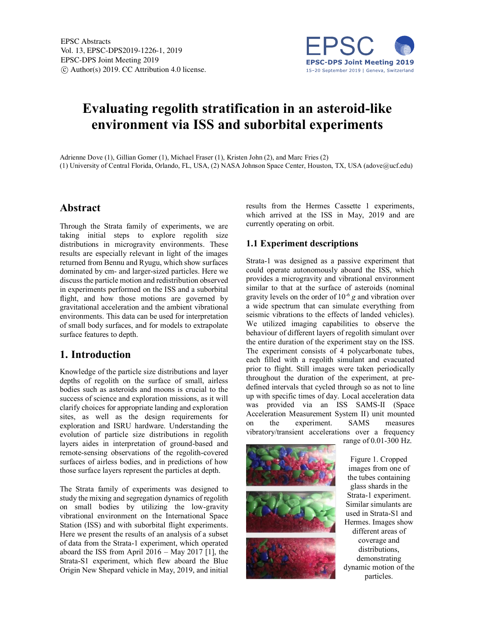

# **Evaluating regolith stratification in an asteroid-like environment via ISS and suborbital experiments**

Adrienne Dove (1), Gillian Gomer (1), Michael Fraser (1), Kristen John (2), and Marc Fries (2) (1) University of Central Florida, Orlando, FL, USA, (2) NASA Johnson Space Center, Houston, TX, USA (adove@ucf.edu)

#### **Abstract**

Through the Strata family of experiments, we are taking initial steps to explore regolith size distributions in microgravity environments. These results are especially relevant in light of the images returned from Bennu and Ryugu, which show surfaces dominated by cm- and larger-sized particles. Here we discuss the particle motion and redistribution observed in experiments performed on the ISS and a suborbital flight, and how those motions are governed by gravitational acceleration and the ambient vibrational environments. This data can be used for interpretation of small body surfaces, and for models to extrapolate surface features to depth.

# **1. Introduction**

Knowledge of the particle size distributions and layer depths of regolith on the surface of small, airless bodies such as asteroids and moons is crucial to the success of science and exploration missions, as it will clarify choices for appropriate landing and exploration sites, as well as the design requirements for exploration and ISRU hardware. Understanding the evolution of particle size distributions in regolith layers aides in interpretation of ground-based and remote-sensing observations of the regolith-covered surfaces of airless bodies, and in predictions of how those surface layers represent the particles at depth.

The Strata family of experiments was designed to study the mixing and segregation dynamics of regolith on small bodies by utilizing the low-gravity vibrational environment on the International Space Station (ISS) and with suborbital flight experiments. Here we present the results of an analysis of a subset of data from the Strata-1 experiment, which operated aboard the ISS from April 2016 – May 2017 [1], the Strata-S1 experiment, which flew aboard the Blue Origin New Shepard vehicle in May, 2019, and initial

results from the Hermes Cassette 1 experiments, which arrived at the ISS in May, 2019 and are currently operating on orbit.

#### **1.1 Experiment descriptions**

Strata-1 was designed as a passive experiment that could operate autonomously aboard the ISS, which provides a microgravity and vibrational environment similar to that at the surface of asteroids (nominal gravity levels on the order of 10-6 *g* and vibration over a wide spectrum that can simulate everything from seismic vibrations to the effects of landed vehicles). We utilized imaging capabilities to observe the behaviour of different layers of regolith simulant over the entire duration of the experiment stay on the ISS. The experiment consists of 4 polycarbonate tubes, each filled with a regolith simulant and evacuated prior to flight. Still images were taken periodically throughout the duration of the experiment, at predefined intervals that cycled through so as not to line up with specific times of day. Local acceleration data was provided via an ISS SAMS-II (Space Acceleration Measurement System II) unit mounted on the experiment. SAMS measures vibratory/transient accelerations over a frequency



range of 0.01-300 Hz.

Figure 1. Cropped images from one of the tubes containing glass shards in the Strata-1 experiment. Similar simulants are used in Strata-S1 and Hermes. Images show different areas of coverage and distributions, demonstrating dynamic motion of the particles.